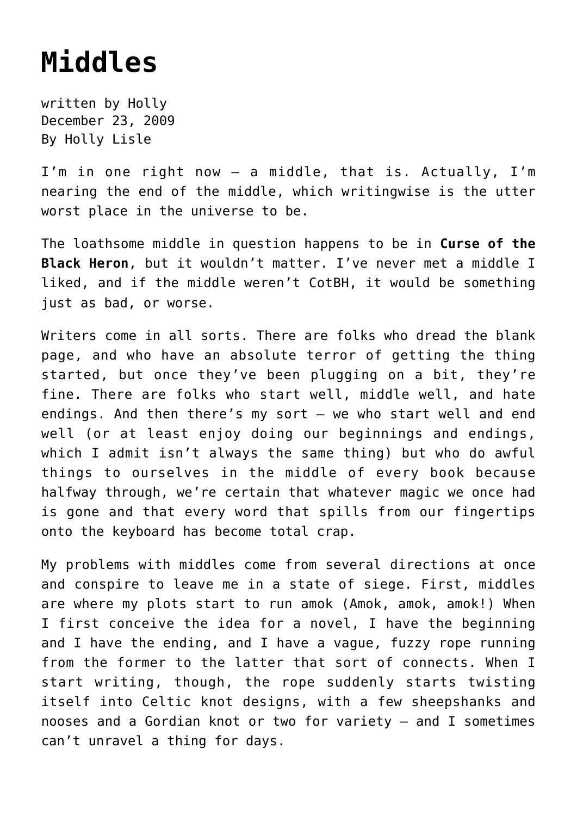## **[Middles](https://hollylisle.com/middles/)**

written by Holly December 23, 2009 [By Holly Lisle](https://hollylisle.com)

I'm in one right now — a middle, that is. Actually, I'm nearing the end of the middle, which writingwise is the utter worst place in the universe to be.

The loathsome middle in question happens to be in **Curse of the Black Heron**, but it wouldn't matter. I've never met a middle I liked, and if the middle weren't CotBH, it would be something just as bad, or worse.

Writers come in all sorts. There are folks who dread the blank page, and who have an absolute terror of getting the thing started, but once they've been plugging on a bit, they're fine. There are folks who start well, middle well, and hate endings. And then there's my sort — we who start well and end well (or at least enjoy doing our beginnings and endings, which I admit isn't always the same thing) but who do awful things to ourselves in the middle of every book because halfway through, we're certain that whatever magic we once had is gone and that every word that spills from our fingertips onto the keyboard has become total crap.

My problems with middles come from several directions at once and conspire to leave me in a state of siege. First, middles are where my plots start to run amok (Amok, amok, amok!) When I first conceive the idea for a novel, I have the beginning and I have the ending, and I have a vague, fuzzy rope running from the former to the latter that sort of connects. When I start writing, though, the rope suddenly starts twisting itself into Celtic knot designs, with a few sheepshanks and nooses and a Gordian knot or two for variety — and I sometimes can't unravel a thing for days.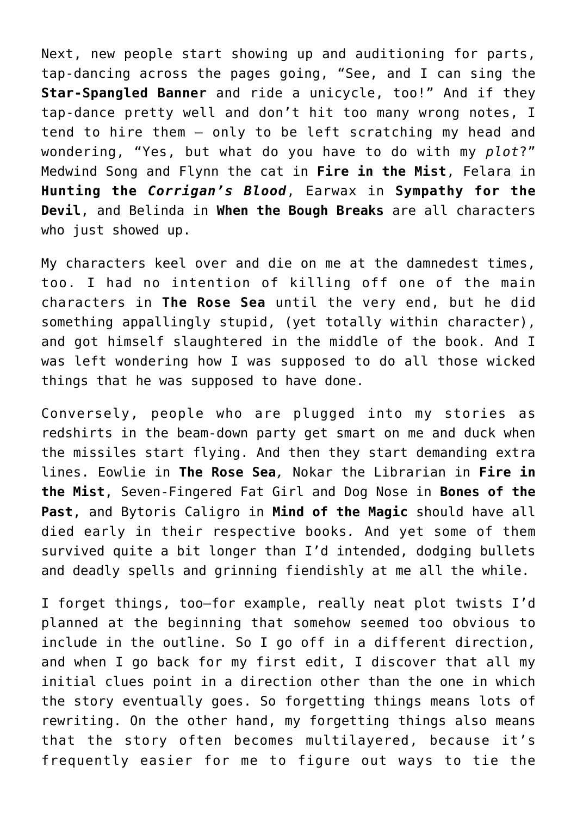Next, new people start showing up and auditioning for parts, tap-dancing across the pages going, "See, and I can sing the **Star-Spangled Banner** and ride a unicycle, too!" And if they tap-dance pretty well and don't hit too many wrong notes, I tend to hire them — only to be left scratching my head and wondering, "Yes, but what do you have to do with my *plot*?" Medwind Song and Flynn the cat in **Fire in the Mist**, Felara in **Hunting the** *Corrigan's Blood*, Earwax in **Sympathy for the Devil**, and Belinda in **When the Bough Breaks** are all characters who just showed up.

My characters keel over and die on me at the damnedest times, too. I had no intention of killing off one of the main characters in **The Rose Sea** until the very end, but he did something appallingly stupid, (yet totally within character), and got himself slaughtered in the middle of the book. And I was left wondering how I was supposed to do all those wicked things that he was supposed to have done.

Conversely, people who are plugged into my stories as redshirts in the beam-down party get smart on me and duck when the missiles start flying. And then they start demanding extra lines. Eowlie in **The Rose Sea***,* Nokar the Librarian in **Fire in the Mist**, Seven-Fingered Fat Girl and Dog Nose in **Bones of the Past**, and Bytoris Caligro in **Mind of the Magic** should have all died early in their respective books*.* And yet some of them survived quite a bit longer than I'd intended, dodging bullets and deadly spells and grinning fiendishly at me all the while.

I forget things, too—for example, really neat plot twists I'd planned at the beginning that somehow seemed too obvious to include in the outline. So I go off in a different direction, and when I go back for my first edit, I discover that all my initial clues point in a direction other than the one in which the story eventually goes. So forgetting things means lots of rewriting. On the other hand, my forgetting things also means that the story often becomes multilayered, because it's frequently easier for me to figure out ways to tie the